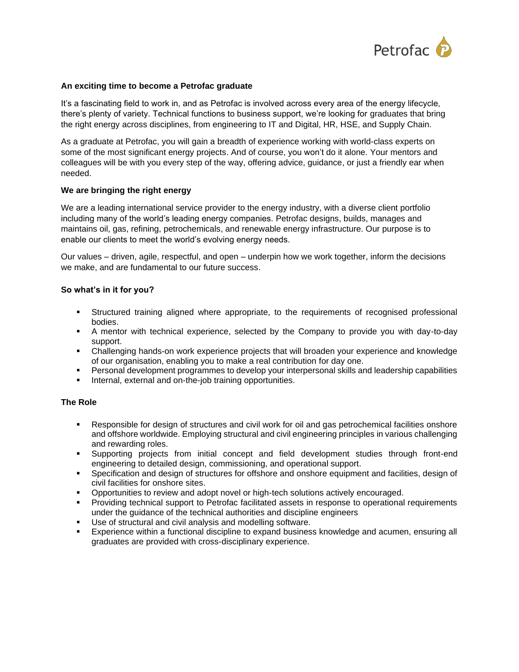

### **An exciting time to become a Petrofac graduate**

It's a fascinating field to work in, and as Petrofac is involved across every area of the energy lifecycle, there's plenty of variety. Technical functions to business support, we're looking for graduates that bring the right energy across disciplines, from engineering to IT and Digital, HR, HSE, and Supply Chain.

As a graduate at Petrofac, you will gain a breadth of experience working with world-class experts on some of the most significant energy projects. And of course, you won't do it alone. Your mentors and colleagues will be with you every step of the way, offering advice, guidance, or just a friendly ear when needed.

### **We are bringing the right energy**

We are a leading international service provider to the energy industry, with a diverse client portfolio including many of the world's leading energy companies. Petrofac designs, builds, manages and maintains oil, gas, refining, petrochemicals, and renewable energy infrastructure. Our purpose is to enable our clients to meet the world's evolving energy needs.

Our values – driven, agile, respectful, and open – underpin how we work together, inform the decisions we make, and are fundamental to our future success.

### **So what's in it for you?**

- Structured training aligned where appropriate, to the requirements of recognised professional bodies.
- A mentor with technical experience, selected by the Company to provide you with day-to-day support.
- Challenging hands-on work experience projects that will broaden your experience and knowledge of our organisation, enabling you to make a real contribution for day one.
- Personal development programmes to develop your interpersonal skills and leadership capabilities
- Internal, external and on-the-job training opportunities.

# **The Role**

- Responsible for design of structures and civil work for oil and gas petrochemical facilities onshore and offshore worldwide. Employing structural and civil engineering principles in various challenging and rewarding roles.
- Supporting projects from initial concept and field development studies through front-end engineering to detailed design, commissioning, and operational support.
- Specification and design of structures for offshore and onshore equipment and facilities, design of civil facilities for onshore sites.
- **•** Opportunities to review and adopt novel or high-tech solutions actively encouraged.
- Providing technical support to Petrofac facilitated assets in response to operational requirements under the guidance of the technical authorities and discipline engineers
- Use of structural and civil analysis and modelling software.
- **Experience within a functional discipline to expand business knowledge and acumen, ensuring all** graduates are provided with cross-disciplinary experience.